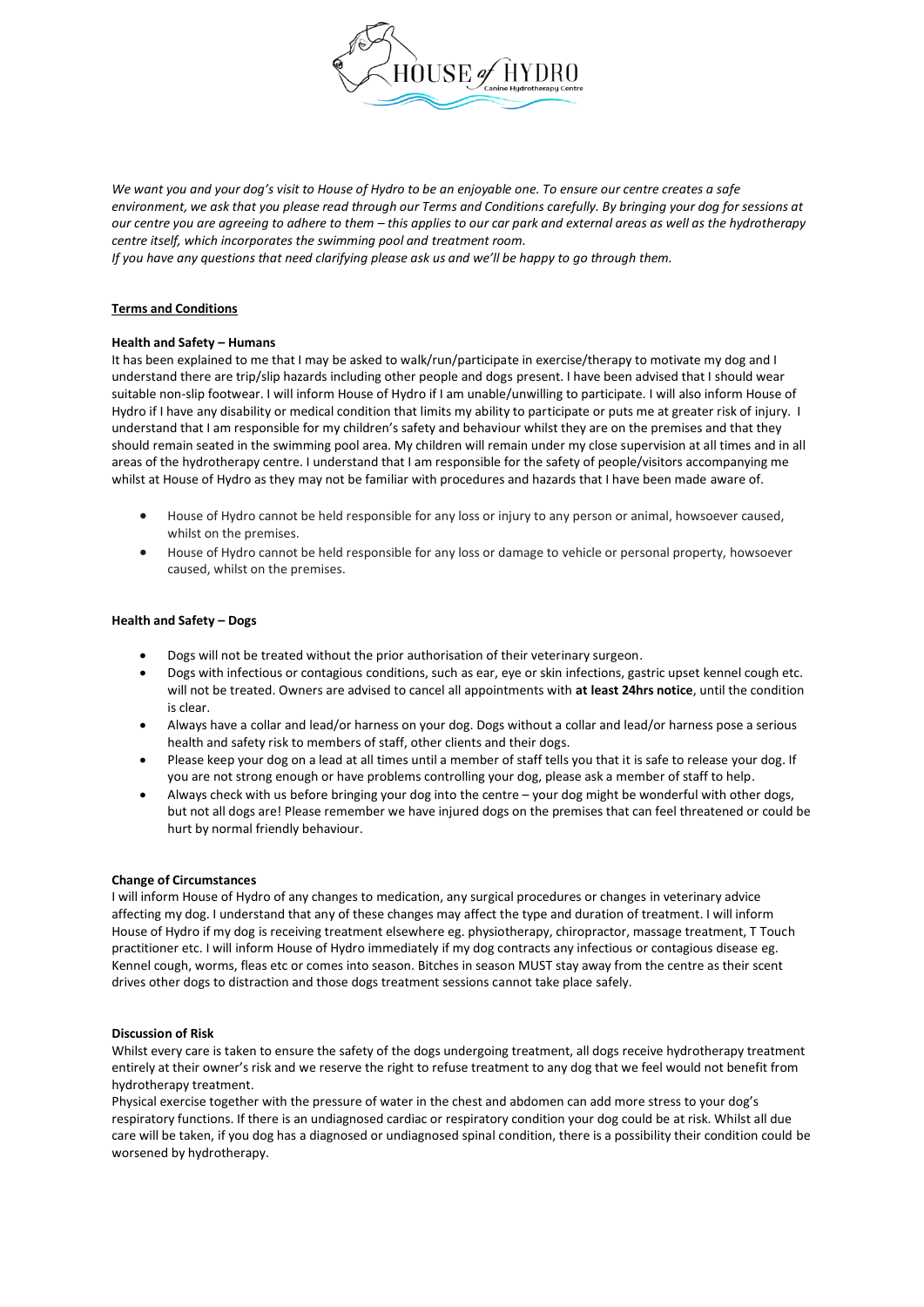

*We want you and your dog's visit to House of Hydro to be an enjoyable one. To ensure our centre creates a safe environment, we ask that you please read through our Terms and Conditions carefully. By bringing your dog for sessions at our centre you are agreeing to adhere to them – this applies to our car park and external areas as well as the hydrotherapy centre itself, which incorporates the swimming pool and treatment room.* 

*If you have any questions that need clarifying please ask us and we'll be happy to go through them.*

#### **Terms and Conditions**

#### **Health and Safety – Humans**

It has been explained to me that I may be asked to walk/run/participate in exercise/therapy to motivate my dog and I understand there are trip/slip hazards including other people and dogs present. I have been advised that I should wear suitable non-slip footwear. I will inform House of Hydro if I am unable/unwilling to participate. I will also inform House of Hydro if I have any disability or medical condition that limits my ability to participate or puts me at greater risk of injury. I understand that I am responsible for my children's safety and behaviour whilst they are on the premises and that they should remain seated in the swimming pool area. My children will remain under my close supervision at all times and in all areas of the hydrotherapy centre. I understand that I am responsible for the safety of people/visitors accompanying me whilst at House of Hydro as they may not be familiar with procedures and hazards that I have been made aware of.

- House of Hydro cannot be held responsible for any loss or injury to any person or animal, howsoever caused, whilst on the premises.
- House of Hydro cannot be held responsible for any loss or damage to vehicle or personal property, howsoever caused, whilst on the premises.

#### **Health and Safety – Dogs**

- Dogs will not be treated without the prior authorisation of their veterinary surgeon.
- Dogs with infectious or contagious conditions, such as ear, eye or skin infections, gastric upset kennel cough etc. will not be treated. Owners are advised to cancel all appointments with **at least 24hrs notice**, until the condition is clear.
- Always have a collar and lead/or harness on your dog. Dogs without a collar and lead/or harness pose a serious health and safety risk to members of staff, other clients and their dogs.
- Please keep your dog on a lead at all times until a member of staff tells you that it is safe to release your dog. If you are not strong enough or have problems controlling your dog, please ask a member of staff to help.
- Always check with us before bringing your dog into the centre your dog might be wonderful with other dogs, but not all dogs are! Please remember we have injured dogs on the premises that can feel threatened or could be hurt by normal friendly behaviour.

#### **Change of Circumstances**

I will inform House of Hydro of any changes to medication, any surgical procedures or changes in veterinary advice affecting my dog. I understand that any of these changes may affect the type and duration of treatment. I will inform House of Hydro if my dog is receiving treatment elsewhere eg. physiotherapy, chiropractor, massage treatment, T Touch practitioner etc. I will inform House of Hydro immediately if my dog contracts any infectious or contagious disease eg. Kennel cough, worms, fleas etc or comes into season. Bitches in season MUST stay away from the centre as their scent drives other dogs to distraction and those dogs treatment sessions cannot take place safely.

#### **Discussion of Risk**

Whilst every care is taken to ensure the safety of the dogs undergoing treatment, all dogs receive hydrotherapy treatment entirely at their owner's risk and we reserve the right to refuse treatment to any dog that we feel would not benefit from hydrotherapy treatment.

Physical exercise together with the pressure of water in the chest and abdomen can add more stress to your dog's respiratory functions. If there is an undiagnosed cardiac or respiratory condition your dog could be at risk. Whilst all due care will be taken, if you dog has a diagnosed or undiagnosed spinal condition, there is a possibility their condition could be worsened by hydrotherapy.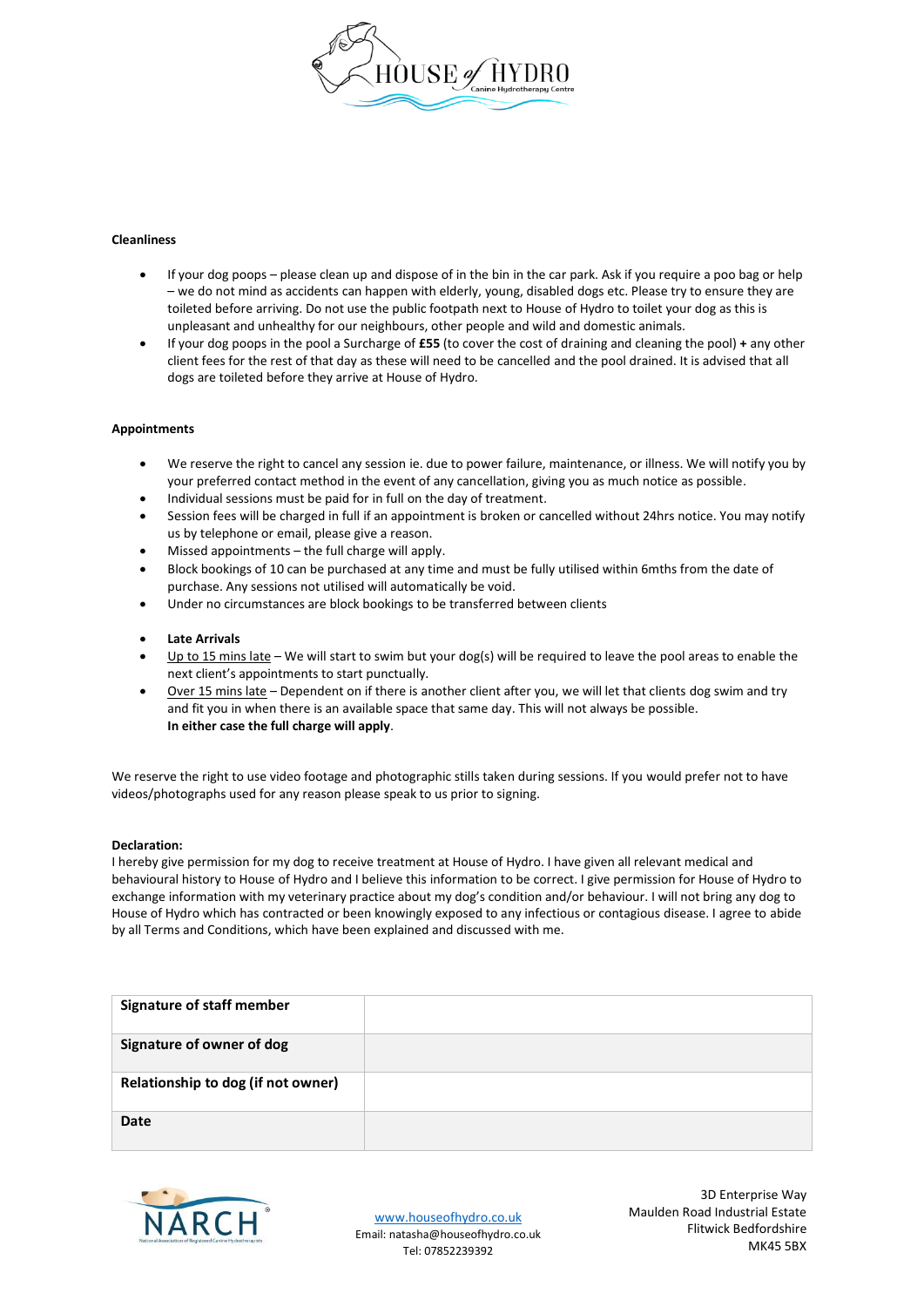

#### **Cleanliness**

- If your dog poops please clean up and dispose of in the bin in the car park. Ask if you require a poo bag or help – we do not mind as accidents can happen with elderly, young, disabled dogs etc. Please try to ensure they are toileted before arriving. Do not use the public footpath next to House of Hydro to toilet your dog as this is unpleasant and unhealthy for our neighbours, other people and wild and domestic animals.
- If your dog poops in the pool a Surcharge of **£55** (to cover the cost of draining and cleaning the pool) **+** any other client fees for the rest of that day as these will need to be cancelled and the pool drained. It is advised that all dogs are toileted before they arrive at House of Hydro.

#### **Appointments**

- We reserve the right to cancel any session ie. due to power failure, maintenance, or illness. We will notify you by your preferred contact method in the event of any cancellation, giving you as much notice as possible.
- Individual sessions must be paid for in full on the day of treatment.
- Session fees will be charged in full if an appointment is broken or cancelled without 24hrs notice. You may notify us by telephone or email, please give a reason.
- Missed appointments  $-$  the full charge will apply.
- Block bookings of 10 can be purchased at any time and must be fully utilised within 6mths from the date of purchase. Any sessions not utilised will automatically be void.
- Under no circumstances are block bookings to be transferred between clients
- **Late Arrivals**
- Up to 15 mins late We will start to swim but your dog(s) will be required to leave the pool areas to enable the next client's appointments to start punctually.
- Over 15 mins late Dependent on if there is another client after you, we will let that clients dog swim and try and fit you in when there is an available space that same day. This will not always be possible. **In either case the full charge will apply**.

We reserve the right to use video footage and photographic stills taken during sessions. If you would prefer not to have videos/photographs used for any reason please speak to us prior to signing.

#### **Declaration:**

I hereby give permission for my dog to receive treatment at House of Hydro. I have given all relevant medical and behavioural history to House of Hydro and I believe this information to be correct. I give permission for House of Hydro to exchange information with my veterinary practice about my dog's condition and/or behaviour. I will not bring any dog to House of Hydro which has contracted or been knowingly exposed to any infectious or contagious disease. I agree to abide by all Terms and Conditions, which have been explained and discussed with me.

| <b>Signature of staff member</b>   |  |
|------------------------------------|--|
| Signature of owner of dog          |  |
| Relationship to dog (if not owner) |  |
| <b>Date</b>                        |  |



[www.houseofhydro.co.uk](http://www.houseofhydro.co.uk/) Email: natasha@houseofhydro.co.uk Tel: 07852239392

3D Enterprise Way Maulden Road Industrial Estate Flitwick Bedfordshire MK45 5BX